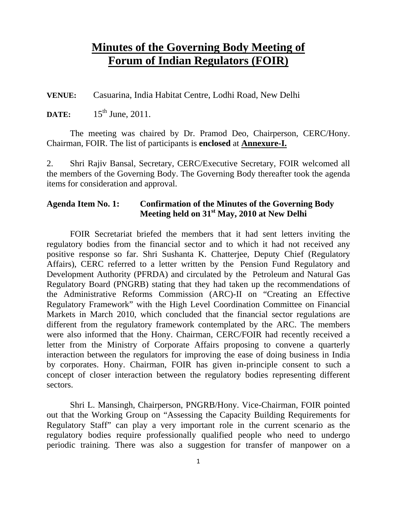# **Minutes of the Governing Body Meeting of Forum of Indian Regulators (FOIR)**

**VENUE:** Casuarina, India Habitat Centre, Lodhi Road, New Delhi

**DATE:** 15<sup>th</sup> June, 2011.

The meeting was chaired by Dr. Pramod Deo, Chairperson, CERC/Hony. Chairman, FOIR. The list of participants is **enclosed** at **Annexure-I.**

2. Shri Rajiv Bansal, Secretary, CERC/Executive Secretary, FOIR welcomed all the members of the Governing Body. The Governing Body thereafter took the agenda items for consideration and approval.

### **Agenda Item No. 1: Confirmation of the Minutes of the Governing Body Meeting held on 31st May, 2010 at New Delhi**

FOIR Secretariat briefed the members that it had sent letters inviting the regulatory bodies from the financial sector and to which it had not received any positive response so far. Shri Sushanta K. Chatterjee, Deputy Chief (Regulatory Affairs), CERC referred to a letter written by the Pension Fund Regulatory and Development Authority (PFRDA) and circulated by the Petroleum and Natural Gas Regulatory Board (PNGRB) stating that they had taken up the recommendations of the Administrative Reforms Commission (ARC)-II on "Creating an Effective Regulatory Framework" with the High Level Coordination Committee on Financial Markets in March 2010, which concluded that the financial sector regulations are different from the regulatory framework contemplated by the ARC. The members were also informed that the Hony. Chairman, CERC/FOIR had recently received a letter from the Ministry of Corporate Affairs proposing to convene a quarterly interaction between the regulators for improving the ease of doing business in India by corporates. Hony. Chairman, FOIR has given in-principle consent to such a concept of closer interaction between the regulatory bodies representing different sectors.

Shri L. Mansingh, Chairperson, PNGRB/Hony. Vice-Chairman, FOIR pointed out that the Working Group on "Assessing the Capacity Building Requirements for Regulatory Staff" can play a very important role in the current scenario as the regulatory bodies require professionally qualified people who need to undergo periodic training. There was also a suggestion for transfer of manpower on a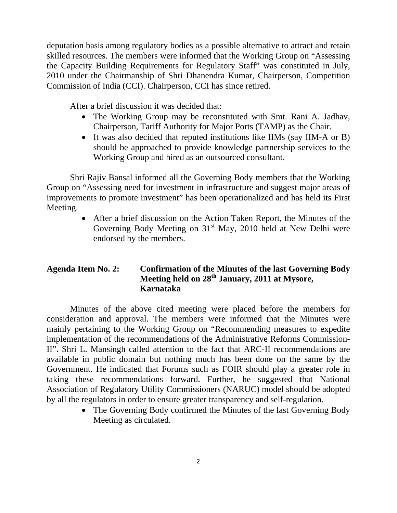deputation basis among regulatory bodies as a possible alternative to attract and retain skilled resources. The members were informed that the Working Group on "Assessing the Capacity Building Requirements for Regulatory Staff" was constituted in July, 2010 under the Chairmanship of Shri Dhanendra Kumar, Chairperson, Competition Commission of India (CCI). Chairperson, CCI has since retired.

After a brief discussion it was decided that:

- The Working Group may be reconstituted with Smt. Rani A. Jadhav, Chairperson, Tariff Authority for Major Ports (TAMP) as the Chair.
- It was also decided that reputed institutions like IIMs (say IIM-A or B) should be approached to provide knowledge partnership services to the Working Group and hired as an outsourced consultant.

Shri Rajiv Bansal informed all the Governing Body members that the Working Group on "Assessing need for investment in infrastructure and suggest major areas of improvements to promote investment" has been operationalized and has held its First Meeting.

> • After a brief discussion on the Action Taken Report, the Minutes of the Governing Body Meeting on  $31<sup>st</sup>$  May, 2010 held at New Delhi were endorsed by the members.

## **Agenda Item No. 2: Confirmation of the Minutes of the last Governing Body Meeting held on 28th January, 2011 at Mysore, Karnataka**

Minutes of the above cited meeting were placed before the members for consideration and approval. The members were informed that the Minutes were mainly pertaining to the Working Group on "Recommending measures to expedite implementation of the recommendations of the Administrative Reforms Commission-II"**.** Shri L. Mansingh called attention to the fact that ARC-II recommendations are available in public domain but nothing much has been done on the same by the Government. He indicated that Forums such as FOIR should play a greater role in taking these recommendations forward. Further, he suggested that National Association of Regulatory Utility Commissioners (NARUC) model should be adopted by all the regulators in order to ensure greater transparency and self-regulation.

> • The Governing Body confirmed the Minutes of the last Governing Body Meeting as circulated.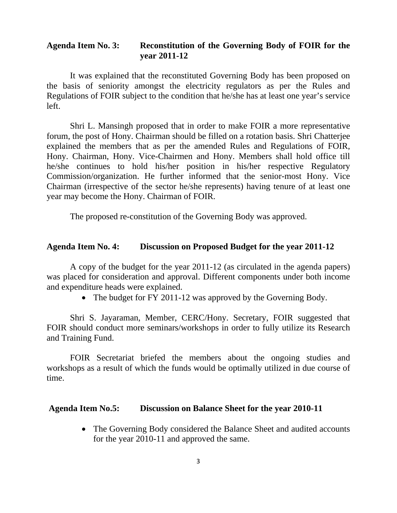### **Agenda Item No. 3: Reconstitution of the Governing Body of FOIR for the year 2011-12**

It was explained that the reconstituted Governing Body has been proposed on the basis of seniority amongst the electricity regulators as per the Rules and Regulations of FOIR subject to the condition that he/she has at least one year's service left.

Shri L. Mansingh proposed that in order to make FOIR a more representative forum, the post of Hony. Chairman should be filled on a rotation basis. Shri Chatterjee explained the members that as per the amended Rules and Regulations of FOIR, Hony. Chairman, Hony. Vice-Chairmen and Hony. Members shall hold office till he/she continues to hold his/her position in his/her respective Regulatory Commission/organization. He further informed that the senior-most Hony. Vice Chairman (irrespective of the sector he/she represents) having tenure of at least one year may become the Hony. Chairman of FOIR.

The proposed re-constitution of the Governing Body was approved.

#### **Agenda Item No. 4: Discussion on Proposed Budget for the year 2011-12**

A copy of the budget for the year 2011-12 (as circulated in the agenda papers) was placed for consideration and approval. Different components under both income and expenditure heads were explained.

• The budget for FY 2011-12 was approved by the Governing Body.

 Shri S. Jayaraman, Member, CERC/Hony. Secretary, FOIR suggested that FOIR should conduct more seminars/workshops in order to fully utilize its Research and Training Fund.

 FOIR Secretariat briefed the members about the ongoing studies and workshops as a result of which the funds would be optimally utilized in due course of time.

#### **Agenda Item No.5: Discussion on Balance Sheet for the year 2010-11**

• The Governing Body considered the Balance Sheet and audited accounts for the year 2010-11 and approved the same.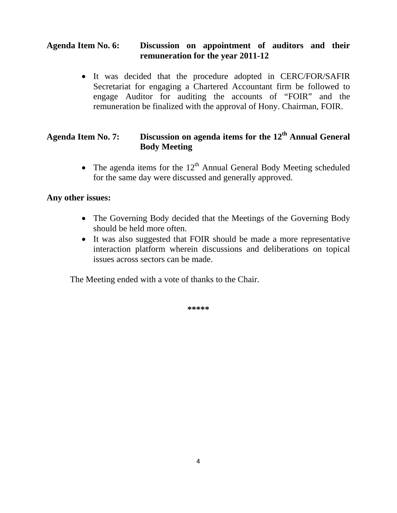### **Agenda Item No. 6: Discussion on appointment of auditors and their remuneration for the year 2011-12**

• It was decided that the procedure adopted in CERC/FOR/SAFIR Secretariat for engaging a Chartered Accountant firm be followed to engage Auditor for auditing the accounts of "FOIR" and the remuneration be finalized with the approval of Hony. Chairman, FOIR.

## **Agenda Item No. 7: Discussion on agenda items for the 12th Annual General Body Meeting**

• The agenda items for the  $12<sup>th</sup>$  Annual General Body Meeting scheduled for the same day were discussed and generally approved.

### **Any other issues:**

- The Governing Body decided that the Meetings of the Governing Body should be held more often.
- It was also suggested that FOIR should be made a more representative interaction platform wherein discussions and deliberations on topical issues across sectors can be made.

The Meeting ended with a vote of thanks to the Chair.

**\*\*\*\*\***